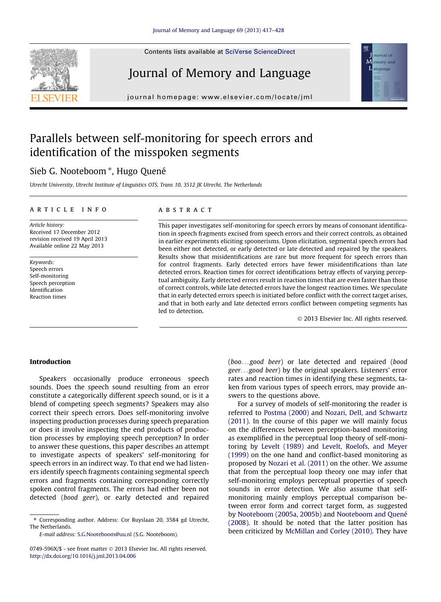Contents lists available at [SciVerse ScienceDirect](http://www.sciencedirect.com/science/journal/0749596X)





journal homepage: www.el [sevier.com/locate/jml](http://www.elsevier.com/locate/jml)

## Parallels between self-monitoring for speech errors and identification of the misspoken segments

### Sieb G. Nooteboom \*, Hugo Quené

Utrecht University, Utrecht Institute of Linguistics OTS, Trans 10, 3512 JK Utrecht, The Netherlands

#### article info

Article history: Received 17 December 2012 revision received 19 April 2013 Available online 22 May 2013

Keywords: Speech errors Self-monitoring Speech perception Identification Reaction times

#### **ABSTRACT**

This paper investigates self-monitoring for speech errors by means of consonant identification in speech fragments excised from speech errors and their correct controls, as obtained in earlier experiments eliciting spoonerisms. Upon elicitation, segmental speech errors had been either not detected, or early detected or late detected and repaired by the speakers. Results show that misidentifications are rare but more frequent for speech errors than for control fragments. Early detected errors have fewer misidentifications than late detected errors. Reaction times for correct identifications betray effects of varying perceptual ambiguity. Early detected errors result in reaction times that are even faster than those of correct controls, while late detected errors have the longest reaction times. We speculate that in early detected errors speech is initiated before conflict with the correct target arises, and that in both early and late detected errors conflict between competing segments has led to detection.

- 2013 Elsevier Inc. All rights reserved.

ournal of M emory and L anguage

#### Introduction

Speakers occasionally produce erroneous speech sounds. Does the speech sound resulting from an error constitute a categorically different speech sound, or is it a blend of competing speech segments? Speakers may also correct their speech errors. Does self-monitoring involve inspecting production processes during speech preparation or does it involve inspecting the end products of production processes by employing speech perception? In order to answer these questions, this paper describes an attempt to investigate aspects of speakers' self-monitoring for speech errors in an indirect way. To that end we had listeners identify speech fragments containing segmental speech errors and fragments containing corresponding correctly spoken control fragments. The errors had either been not detected (bood geer), or early detected and repaired (boo...good beer) or late detected and repaired (bood geer...good beer) by the original speakers. Listeners' error rates and reaction times in identifying these segments, taken from various types of speech errors, may provide answers to the questions above.

For a survey of models of self-monitoring the reader is referred to [Postma \(2000\)](#page--1-0) and [Nozari, Dell, and Schwartz](#page--1-0) [\(2011\).](#page--1-0) In the course of this paper we will mainly focus on the differences between perception-based monitoring as exemplified in the perceptual loop theory of self-monitoring by [Levelt \(1989\)](#page--1-0) and [Levelt, Roelofs, and Meyer](#page--1-0) [\(1999\)](#page--1-0) on the one hand and conflict-based monitoring as proposed by [Nozari et al. \(2011\)](#page--1-0) on the other. We assume that from the perceptual loop theory one may infer that self-monitoring employs perceptual properties of speech sounds in error detection. We also assume that selfmonitoring mainly employs perceptual comparison between error form and correct target form, as suggested by [Nooteboom \(2005a, 2005b\)](#page--1-0) and [Nooteboom and Quené](#page--1-0) [\(2008\).](#page--1-0) It should be noted that the latter position has been criticized by [McMillan and Corley \(2010\)](#page--1-0). They have

<sup>⇑</sup> Corresponding author. Address: Cor Ruyslaan 20, 3584 gd Utrecht, The Netherlands.

E-mail address: [S.G.Nooteboom@uu.nl](mailto:S.G.Nooteboom@uu.nl) (S.G. Nooteboom).

<sup>0749-596</sup>X/\$ - see front matter © 2013 Elsevier Inc. All rights reserved. <http://dx.doi.org/10.1016/j.jml.2013.04.006>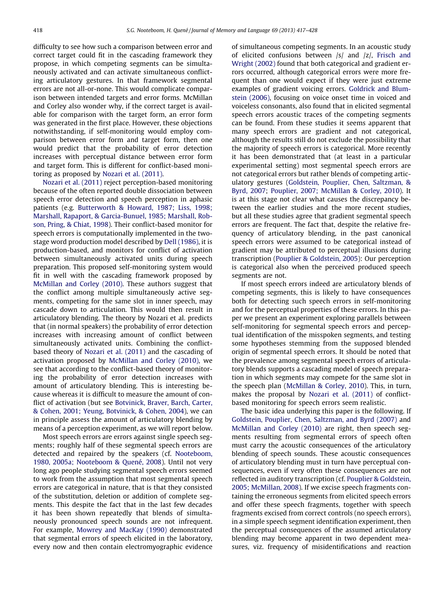difficulty to see how such a comparison between error and correct target could fit in the cascading framework they propose, in which competing segments can be simultaneously activated and can activate simultaneous conflicting articulatory gestures. In that framework segmental errors are not all-or-none. This would complicate comparison between intended targets and error forms. McMillan and Corley also wonder why, if the correct target is available for comparison with the target form, an error form was generated in the first place. However, these objections notwithstanding, if self-monitoring would employ comparison between error form and target form, then one would predict that the probability of error detection increases with perceptual distance between error form and target form. This is different for conflict-based monitoring as proposed by [Nozari et al. \(2011\)](#page--1-0).

[Nozari et al. \(2011\)](#page--1-0) reject perception-based monitoring because of the often reported double dissociation between speech error detection and speech perception in aphasic patients (e.g. [Butterworth & Howard, 1987; Liss, 1998;](#page--1-0) [Marshall, Rapaport, & Garcia-Bunuel, 1985; Marshall, Rob](#page--1-0)[son, Pring, & Chiat, 1998\)](#page--1-0). Their conflict-based monitor for speech errors is computationally implemented in the twostage word production model described by [Dell \(1986\),](#page--1-0) it is production-based, and monitors for conflict of activation between simultaneously activated units during speech preparation. This proposed self-monitoring system would fit in well with the cascading framework proposed by [McMillan and Corley \(2010\)](#page--1-0). These authors suggest that the conflict among multiple simultaneously active segments, competing for the same slot in inner speech, may cascade down to articulation. This would then result in articulatory blending. The theory by Nozari et al. predicts that (in normal speakers) the probability of error detection increases with increasing amount of conflict between simultaneously activated units. Combining the conflictbased theory of [Nozari et al. \(2011\)](#page--1-0) and the cascading of activation proposed by [McMillan and Corley \(2010\)](#page--1-0), we see that according to the conflict-based theory of monitoring the probability of error detection increases with amount of articulatory blending. This is interesting because whereas it is difficult to measure the amount of conflict of activation (but see [Botvinick, Braver, Barch, Carter,](#page--1-0) [& Cohen, 2001; Yeung, Botvinick, & Cohen, 2004](#page--1-0)), we can in principle assess the amount of articulatory blending by means of a perception experiment, as we will report below.

Most speech errors are errors against single speech segments; roughly half of these segmental speech errors are detected and repaired by the speakers (cf. [Nooteboom,](#page--1-0) [1980, 2005a; Nooteboom & Quené, 2008](#page--1-0)). Until not very long ago people studying segmental speech errors seemed to work from the assumption that most segmental speech errors are categorical in nature, that is that they consisted of the substitution, deletion or addition of complete segments. This despite the fact that in the last few decades it has been shown repeatedly that blends of simultaneously pronounced speech sounds are not infrequent. For example, [Mowrey and MacKay \(1990\)](#page--1-0) demonstrated that segmental errors of speech elicited in the laboratory, every now and then contain electromyographic evidence of simultaneous competing segments. In an acoustic study of elicited confusions between /s/ and /z/, [Frisch and](#page--1-0) [Wright \(2002\)](#page--1-0) found that both categorical and gradient errors occurred, although categorical errors were more frequent than one would expect if they were just extreme examples of gradient voicing errors. [Goldrick and Blum](#page--1-0)[stein \(2006\)](#page--1-0), focusing on voice onset time in voiced and voiceless consonants, also found that in elicited segmental speech errors acoustic traces of the competing segments can be found. From these studies it seems apparent that many speech errors are gradient and not categorical, although the results still do not exclude the possibility that the majority of speech errors is categorical. More recently it has been demonstrated that (at least in a particular experimental setting) most segmental speech errors are not categorical errors but rather blends of competing articulatory gestures [\(Goldstein, Pouplier, Chen, Saltzman, &](#page--1-0) [Byrd, 2007](#page--1-0); [Pouplier, 2007; McMillan & Corley, 2010](#page--1-0)). It is at this stage not clear what causes the discrepancy between the earlier studies and the more recent studies, but all these studies agree that gradient segmental speech errors are frequent. The fact that, despite the relative frequency of articulatory blending, in the past canonical speech errors were assumed to be categorical instead of gradient may be attributed to perceptual illusions during transcription ([Pouplier & Goldstein, 2005\)](#page--1-0): Our perception is categorical also when the perceived produced speech segments are not.

If most speech errors indeed are articulatory blends of competing segments, this is likely to have consequences both for detecting such speech errors in self-monitoring and for the perceptual properties of these errors. In this paper we present an experiment exploring parallels between self-monitoring for segmental speech errors and perceptual identification of the misspoken segments, and testing some hypotheses stemming from the supposed blended origin of segmental speech errors. It should be noted that the prevalence among segmental speech errors of articulatory blends supports a cascading model of speech preparation in which segments may compete for the same slot in the speech plan ([McMillan & Corley, 2010\)](#page--1-0). This, in turn, makes the proposal by [Nozari et al. \(2011\)](#page--1-0) of conflictbased monitoring for speech errors seem realistic.

The basic idea underlying this paper is the following. If [Goldstein, Pouplier, Chen, Saltzman, and Byrd \(2007\)](#page--1-0) and [McMillan and Corley \(2010\)](#page--1-0) are right, then speech segments resulting from segmental errors of speech often must carry the acoustic consequences of the articulatory blending of speech sounds. These acoustic consequences of articulatory blending must in turn have perceptual consequences, even if very often these consequences are not reflected in auditory transcription (cf. [Pouplier & Goldstein,](#page--1-0) [2005; McMillan, 2008\)](#page--1-0). If we excise speech fragments containing the erroneous segments from elicited speech errors and offer these speech fragments, together with speech fragments excised from correct controls (no speech errors), in a simple speech segment identification experiment, then the perceptual consequences of the assumed articulatory blending may become apparent in two dependent measures, viz. frequency of misidentifications and reaction